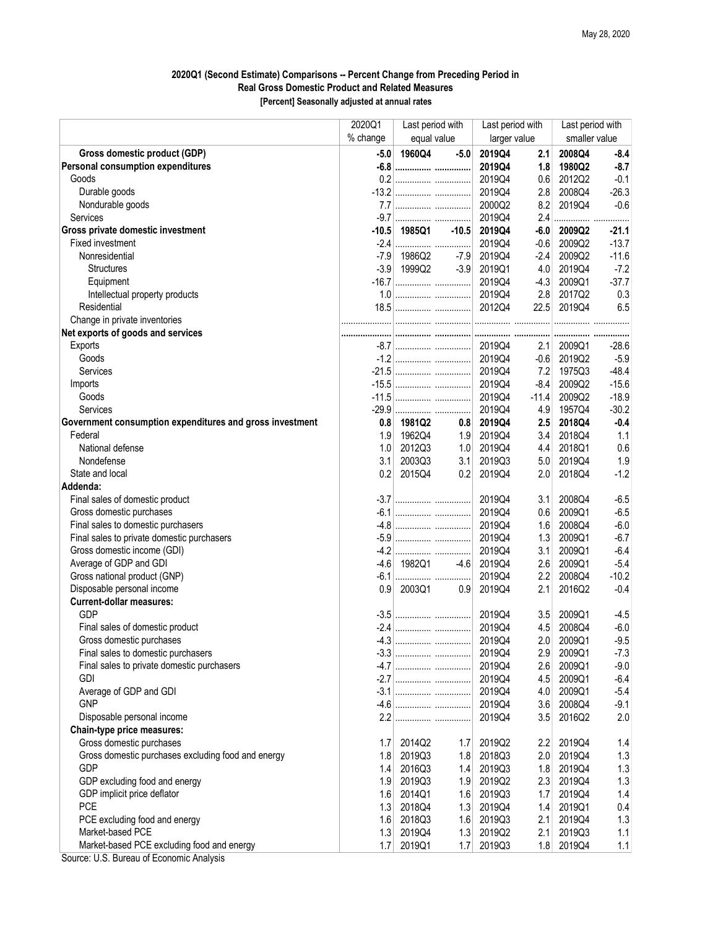## 2020Q1 (Second Estimate) Comparisons -- Percent Change from Preceding Period in Real Gross Domestic Product and Related Measures [Percent] Seasonally adjusted at annual rates

|                                                                                        | 2020Q1   | Last period with |                  | Last period with |            | Last period with |               |
|----------------------------------------------------------------------------------------|----------|------------------|------------------|------------------|------------|------------------|---------------|
|                                                                                        | % change | equal value      |                  | larger value     |            | smaller value    |               |
| Gross domestic product (GDP)                                                           | $-5.0$   | 1960Q4           | $-5.0$           | 2019Q4           | 2.1        | 2008Q4           | $-8.4$        |
| Personal consumption expenditures                                                      |          |                  |                  | 2019Q4           | 1.8        | 1980Q2           | $-8.7$        |
| Goods                                                                                  |          |                  |                  | 2019Q4           | 0.6        | 2012Q2           | $-0.1$        |
| Durable goods                                                                          |          |                  |                  | 2019Q4           | 2.8        | 2008Q4           | $-26.3$       |
| Nondurable goods                                                                       |          |                  |                  | 2000Q2           | 8.2        | 2019Q4           | $-0.6$        |
| <b>Services</b>                                                                        |          |                  |                  | 2019Q4           | 2.4        |                  |               |
| Gross private domestic investment                                                      |          | -10.5 1985Q1     | $-10.5$          | 2019Q4           | $-6.0$     | 2009Q2           | $-21.1$       |
| <b>Fixed investment</b>                                                                |          |                  |                  | 2019Q4           | $-0.6$     | 2009Q2           | $-13.7$       |
| Nonresidential                                                                         |          | $-7.9$ 1986Q2    | -7.9             | 2019Q4           | $-2.4$     | 2009Q2           | $-11.6$       |
| <b>Structures</b>                                                                      |          | $-3.9$ 1999Q2    | $-3.9$           | 2019Q1           | 4.0        | 2019Q4           | $-7.2$        |
| Equipment                                                                              |          |                  |                  | 2019Q4           | $-4.3$     | 2009Q1           | $-37.7$       |
| Intellectual property products                                                         |          |                  |                  | 2019Q4           | 2.8        | 2017Q2           | 0.3           |
| Residential                                                                            |          |                  |                  |                  | 22.5       | 2019Q4           | 6.5           |
| Change in private inventories                                                          |          |                  |                  |                  |            |                  |               |
| Net exports of goods and services                                                      |          |                  |                  |                  |            |                  |               |
| Exports                                                                                |          |                  |                  | 2019Q4           | 2.1        | 2009Q1           | $-28.6$       |
| Goods                                                                                  |          |                  |                  | 2019Q4           | $-0.6$     | 2019Q2           | $-5.9$        |
| Services                                                                               |          |                  |                  | 2019Q4           | 7.2        | 1975Q3           | $-48.4$       |
| Imports                                                                                |          |                  |                  | 2019Q4           | $-8.4$     | 2009Q2           | $-15.6$       |
| Goods                                                                                  |          |                  |                  | 2019Q4           | $-11.4$    | 2009Q2           | $-18.9$       |
| Services                                                                               |          |                  |                  | 2019Q4           | 4.9        | 1957Q4           | $-30.2$       |
| Government consumption expenditures and gross investment                               | 0.8      | 1981Q2           | 0.8              | 2019Q4           | 2.5        | 2018Q4           | $-0.4$        |
| Federal                                                                                | 1.9      | 1962Q4           | 1.9              | 2019Q4           | 3.4        | 2018Q4           | 1.1           |
| National defense                                                                       | 1.0      | 2012Q3           | 1.0              | 2019Q4           | 4.4        | 2018Q1           | 0.6           |
| Nondefense                                                                             | 3.1      | 2003Q3           | 3.1              | 2019Q3           | 5.0        | 2019Q4           | 1.9           |
| State and local                                                                        | 0.2      | 2015Q4           | 0.2              | 2019Q4           | 2.0        | 2018Q4           | $-1.2$        |
| Addenda:                                                                               |          |                  |                  |                  |            |                  |               |
| Final sales of domestic product                                                        |          |                  |                  | 2019Q4           | 3.1        | 2008Q4           | $-6.5$        |
| Gross domestic purchases                                                               |          |                  |                  | 2019Q4           | 0.6        | 2009Q1           | $-6.5$        |
| Final sales to domestic purchasers                                                     |          |                  |                  | 2019Q4           |            | 2008Q4           | $-6.0$        |
| Final sales to private domestic purchasers                                             |          |                  |                  | 2019Q4           | 1.6        |                  | $-6.7$        |
| Gross domestic income (GDI)                                                            |          |                  |                  | 2019Q4           | 1.3<br>3.1 | 2009Q1<br>2009Q1 | $-6.4$        |
| Average of GDP and GDI                                                                 | $-4.6$   | 1982Q1           | $-4.6$           | 2019Q4           | 2.6        | 2009Q1           | $-5.4$        |
| Gross national product (GNP)                                                           |          |                  |                  | 2019Q4           | 2.2        | 2008Q4           | $-10.2$       |
| Disposable personal income                                                             | 0.9      | 2003Q1           | 0.9 <sub>1</sub> | 2019Q4           | 2.1        | 2016Q2           | $-0.4$        |
| <b>Current-dollar measures:</b>                                                        |          |                  |                  |                  |            |                  |               |
| <b>GDP</b>                                                                             |          |                  |                  | 2019Q4           | 3.5        | 2009Q1           | $-4.5$        |
| Final sales of domestic product                                                        |          |                  |                  | 2019Q4           | 4.5        | 2008Q4           | $-6.0$        |
| Gross domestic purchases                                                               |          |                  |                  | 2019Q4           | 2.0        | 2009Q1           | $-9.5$        |
| Final sales to domestic purchasers                                                     |          |                  |                  | 2019Q4           |            | 2009Q1           | $-7.3$        |
| Final sales to private domestic purchasers                                             |          |                  |                  | 2019Q4           | 2.9<br>2.6 | 2009Q1           | $-9.0$        |
| <b>GDI</b>                                                                             |          |                  |                  | 2019Q4           |            | 2009Q1           | $-6.4$        |
| Average of GDP and GDI                                                                 |          |                  |                  | 2019Q4           | 4.5        | 2009Q1           | $-5.4$        |
| <b>GNP</b>                                                                             |          |                  |                  | 2019Q4           | 4.0        | 2008Q4           |               |
| Disposable personal income                                                             |          |                  |                  |                  | 3.6        | 2016Q2           | $-9.1$<br>2.0 |
|                                                                                        |          |                  |                  | 2019Q4           | 3.5        |                  |               |
| Chain-type price measures:<br>Gross domestic purchases                                 |          |                  |                  |                  |            |                  |               |
|                                                                                        | 1.7      | 2014Q2           | 1.7              | 2019Q2           | 2.2        | 2019Q4           | 1.4           |
| Gross domestic purchases excluding food and energy                                     | 1.8      | 2019Q3           | 1.8              | 2018Q3           | 2.0        | 2019Q4           | 1.3           |
| GDP<br>GDP excluding food and energy                                                   | 1.4      | 2016Q3           | 1.4              | 2019Q3           | 1.8        | 2019Q4           | 1.3           |
|                                                                                        | 1.9      | 2019Q3           | 1.9              | 2019Q2           | 2.3        | 2019Q4           | 1.3           |
| GDP implicit price deflator                                                            | 1.6      | 2014Q1           | 1.6              | 2019Q3           | 1.7        | 2019Q4           | 1.4           |
| <b>PCE</b>                                                                             | 1.3      | 2018Q4           | 1.3              | 2019Q4           | 1.4        | 2019Q1           | 0.4           |
| PCE excluding food and energy                                                          | 1.6      | 2018Q3           | 1.6              | 2019Q3           | 2.1        | 2019Q4           | 1.3           |
| Market-based PCE                                                                       | 1.3      | 2019Q4           | 1.3              | 2019Q2           | 2.1        | 2019Q3           | 1.1           |
| Market-based PCE excluding food and energy<br>Source: U.S. Bureau of Economic Analysis | 1.7      | 2019Q1           | 1.7              | 2019Q3           | 1.8        | 2019Q4           | 1.1           |

Source: U.S. Bureau of Economic Analysis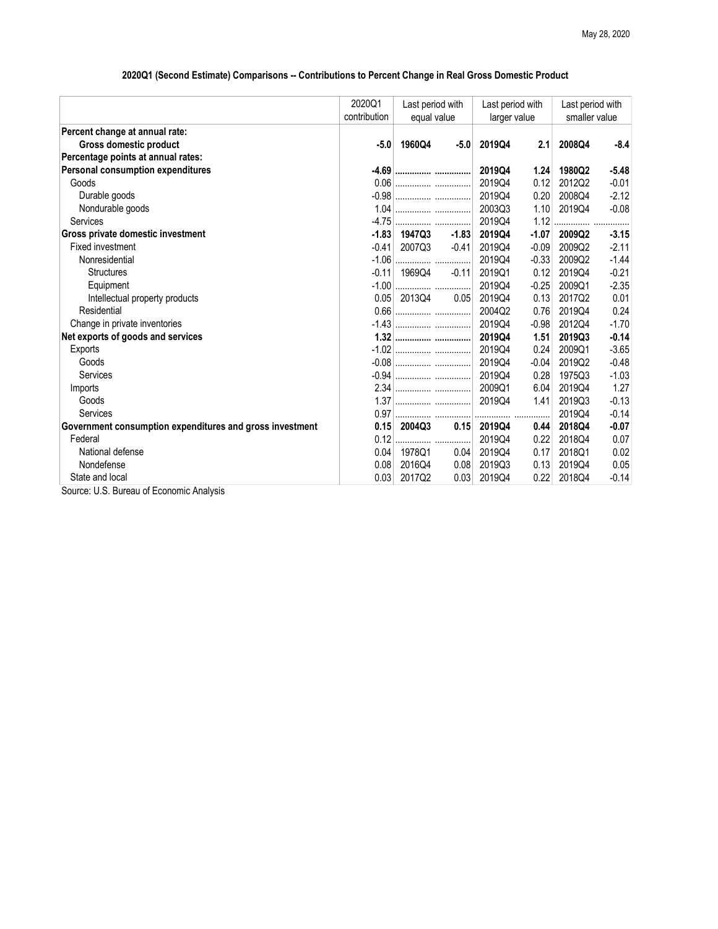## 2020Q1 (Second Estimate) Comparisons -- Contributions to Percent Change in Real Gross Domestic Product

|                                                          | 2020Q1       | Last period with<br>equal value |         | Last period with<br>larger value |         | Last period with<br>smaller value |         |
|----------------------------------------------------------|--------------|---------------------------------|---------|----------------------------------|---------|-----------------------------------|---------|
|                                                          | contribution |                                 |         |                                  |         |                                   |         |
| Percent change at annual rate:                           |              |                                 |         |                                  |         |                                   |         |
| Gross domestic product                                   | $-5.0$       | 1960Q4                          | $-5.0$  | 2019Q4                           | 2.1     | 2008Q4                            | $-8.4$  |
| Percentage points at annual rates:                       |              |                                 |         |                                  |         |                                   |         |
| <b>Personal consumption expenditures</b>                 |              |                                 |         | 2019Q4                           | 1.24    | 1980Q2                            | $-5.48$ |
| Goods                                                    |              |                                 |         | 2019Q4                           | 0.12    | 2012Q2                            | $-0.01$ |
| Durable goods                                            |              |                                 |         | 201904                           | 0.20    | 2008Q4                            | $-2.12$ |
| Nondurable goods                                         |              |                                 |         | 2003Q3                           | 1.10    | 2019Q4                            | $-0.08$ |
| Services                                                 |              |                                 |         | 2019Q4                           | 1.12    |                                   |         |
| Gross private domestic investment                        | $-1.83$      | 1947Q3                          | $-1.83$ | 2019Q4                           | $-1.07$ | 2009Q2                            | $-3.15$ |
| Fixed investment                                         | $-0.41$      | 2007Q3                          | $-0.41$ | 201904                           | $-0.09$ | 2009Q2                            | $-2.11$ |
| Nonresidential                                           | $-1.06$      |                                 |         | 2019Q4                           | $-0.33$ | 2009Q2                            | $-1.44$ |
| <b>Structures</b>                                        | $-0.11$      | 1969Q4                          | $-0.11$ | 2019Q1                           | 0.12    | 2019Q4                            | $-0.21$ |
| Equipment                                                |              |                                 |         | 2019Q4                           | $-0.25$ | 2009Q1                            | $-2.35$ |
| Intellectual property products                           |              | $0.05$ 2013Q4                   | 0.05    | 201904                           | 0.13    | 2017Q2                            | 0.01    |
| Residential                                              |              |                                 |         | 2004Q2                           | 0.76    | 2019Q4                            | 0.24    |
| Change in private inventories                            |              |                                 |         | 2019Q4                           | $-0.98$ | 2012Q4                            | $-1.70$ |
| Net exports of goods and services                        |              |                                 |         | 2019Q4                           | 1.51    | 2019Q3                            | $-0.14$ |
| Exports                                                  |              |                                 |         | 2019Q4                           | 0.24    | 2009Q1                            | $-3.65$ |
| Goods                                                    |              |                                 |         | 201904                           | $-0.04$ | 2019Q2                            | $-0.48$ |
| Services                                                 |              |                                 |         | 2019Q4                           | 0.28    | 1975Q3                            | $-1.03$ |
| Imports                                                  |              |                                 |         | 2009Q1                           | 6.04    | 2019Q4                            | 1.27    |
| Goods                                                    |              |                                 |         | 2019Q4                           | 1.41    | 2019Q3                            | $-0.13$ |
| Services                                                 |              |                                 |         |                                  |         | 2019Q4                            | $-0.14$ |
| Government consumption expenditures and gross investment | 0.15         | 2004Q3                          | 0.15    | 2019Q4                           | 0.44    | 2018Q4                            | $-0.07$ |
| Federal                                                  | 0.12         |                                 |         | 2019Q4                           | 0.22    | 2018Q4                            | 0.07    |
| National defense                                         | 0.04         | 1978Q1                          | 0.04    | 2019Q4                           | 0.17    | 2018Q1                            | 0.02    |
| Nondefense                                               | 0.08         | 2016Q4                          | 0.08    | 2019Q3                           | 0.13    | 2019Q4                            | 0.05    |
| State and local                                          | 0.03         | 2017Q2                          | 0.03    | 2019Q4                           | 0.22    | 2018Q4                            | $-0.14$ |
| Source: U.S. Bureau of Economic Analysis                 |              |                                 |         |                                  |         |                                   |         |